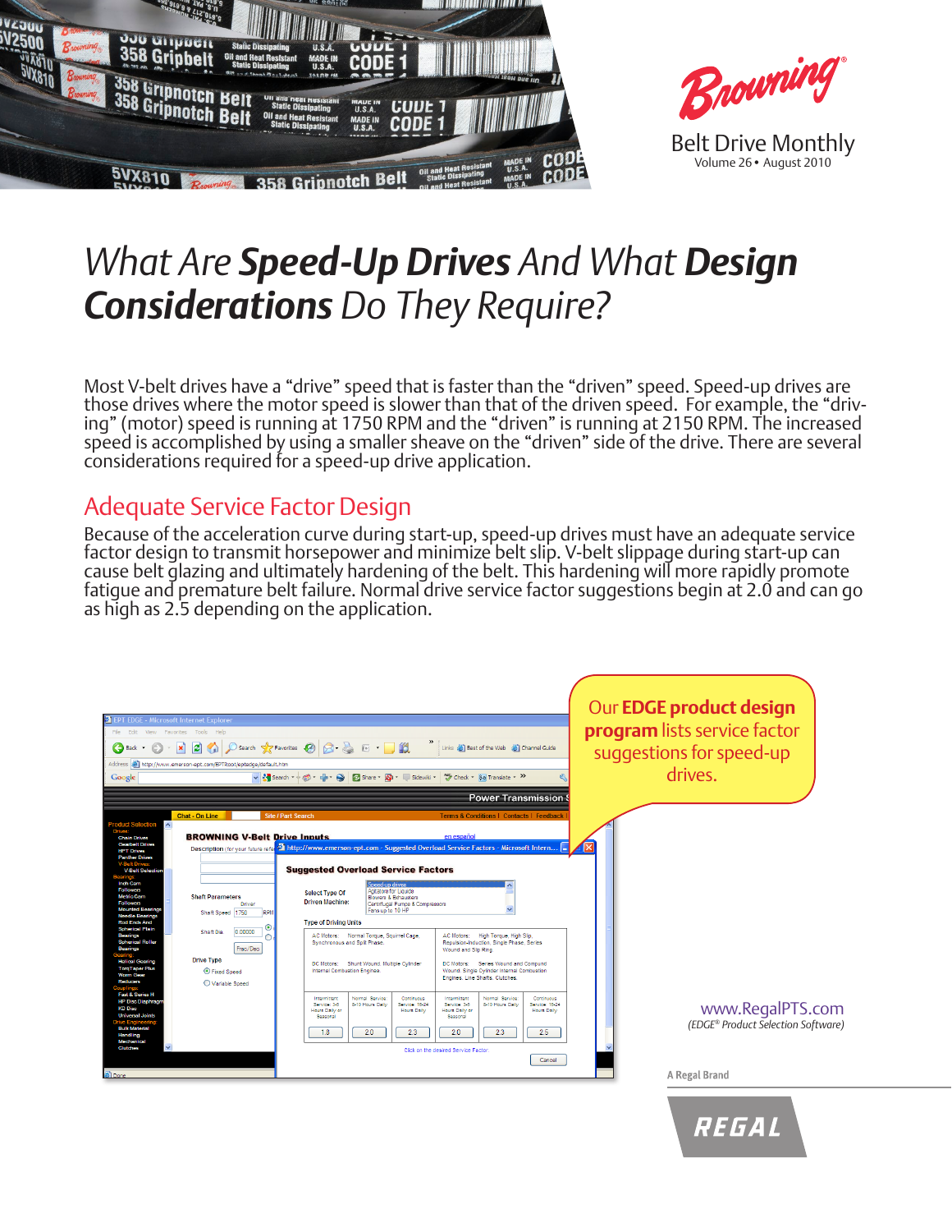

# *What Are Speed-Up Drives And What Design Considerations Do They Require?*

Most V-belt drives have a "drive" speed that is faster than the "driven" speed. Speed-up drives are<br>those drives where the motor speed is slower than that of the driven speed. For example, the "drivthose drives where the motor speed is slower than that of the driven speed. For example, the "driv-<br>ing" (motor) speed is running at 1750 RPM and the "driven" is running at 2150 RPM. The increased speed is accomplished by using a smaller sheave on the "driven" side of the drive. There are several considerations required for a speed-up drive application.

#### Adequate Service Factor Design

Because of the acceleration curve during start-up, speed-up drives must have an adequate service factor design to transmit horsepower and minimize belt slip. V-belt slippage during start-up can cause belt glazing and ultimately hardening of the belt. This hardening will more rapidly promote fatigue and premature belt failure. Normal drive service factor suggestions begin at 2.0 and can go as high as 2.5 depending on the application.